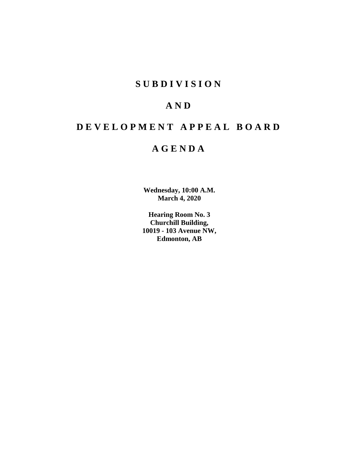## **S U B D I V I S I O N**

## **A N D**

## **D E V E L O P M E N T A P P E A L B O A R D**

## **A G E N D A**

**Wednesday, 10:00 A.M. March 4, 2020**

**Hearing Room No. 3 Churchill Building, 10019 - 103 Avenue NW, Edmonton, AB**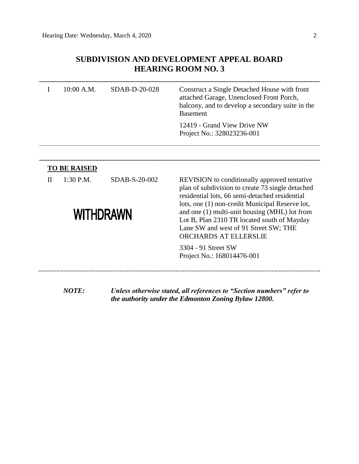## **SUBDIVISION AND DEVELOPMENT APPEAL BOARD HEARING ROOM NO. 3**

| I                | 10:00 A.M.          | SDAB-D-20-028 | Construct a Single Detached House with front<br>attached Garage, Unenclosed Front Porch,<br>balcony, and to develop a secondary suite in the<br><b>Basement</b>                                              |  |  |  |
|------------------|---------------------|---------------|--------------------------------------------------------------------------------------------------------------------------------------------------------------------------------------------------------------|--|--|--|
|                  |                     |               | 12419 - Grand View Drive NW<br>Project No.: 328023236-001                                                                                                                                                    |  |  |  |
|                  |                     |               |                                                                                                                                                                                                              |  |  |  |
|                  | <b>TO BE RAISED</b> |               |                                                                                                                                                                                                              |  |  |  |
| $\mathbf{I}$     | 1:30 P.M.           | SDAB-S-20-002 | <b>REVISION</b> to conditionally approved tentative<br>plan of subdivision to create 73 single detached<br>residential lots, 66 semi-detached residential<br>lots, one (1) non-credit Municipal Reserve lot, |  |  |  |
| <b>WITHDRAWN</b> |                     |               | and one (1) multi-unit housing (MHL) lot from<br>Lot B, Plan 2310 TR located south of Mayday<br>Lane SW and west of 91 Street SW; THE<br>ORCHARDS AT ELLERSLIE                                               |  |  |  |
|                  |                     |               | 3304 - 91 Street SW<br>Project No.: 168014476-001                                                                                                                                                            |  |  |  |
|                  | <b>NOTE:</b>        |               | Unless otherwise stated, all references to "Section numbers" refer to<br>the authority under the Edmonton Zoning Bylaw 12800.                                                                                |  |  |  |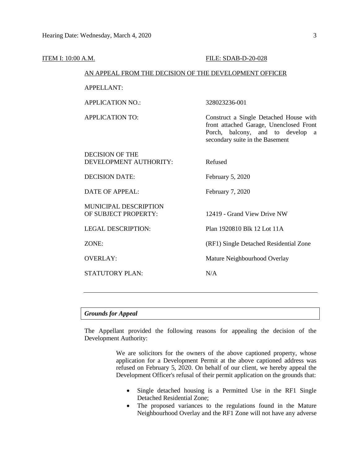| ITEM I: 10:00 A.M. |                                                        | <b>FILE: SDAB-D-20-028</b>                                                                                                                                  |  |  |  |
|--------------------|--------------------------------------------------------|-------------------------------------------------------------------------------------------------------------------------------------------------------------|--|--|--|
|                    | AN APPEAL FROM THE DECISION OF THE DEVELOPMENT OFFICER |                                                                                                                                                             |  |  |  |
|                    | <b>APPELLANT:</b>                                      |                                                                                                                                                             |  |  |  |
|                    | <b>APPLICATION NO.:</b>                                | 328023236-001                                                                                                                                               |  |  |  |
|                    | <b>APPLICATION TO:</b>                                 | Construct a Single Detached House with<br>front attached Garage, Unenclosed Front<br>balcony, and to develop a<br>Porch,<br>secondary suite in the Basement |  |  |  |
|                    | <b>DECISION OF THE</b><br>DEVELOPMENT AUTHORITY:       | Refused                                                                                                                                                     |  |  |  |
|                    | <b>DECISION DATE:</b>                                  | February 5, 2020                                                                                                                                            |  |  |  |
|                    | <b>DATE OF APPEAL:</b>                                 | February 7, 2020                                                                                                                                            |  |  |  |
|                    | MUNICIPAL DESCRIPTION<br>OF SUBJECT PROPERTY:          | 12419 - Grand View Drive NW                                                                                                                                 |  |  |  |
|                    | <b>LEGAL DESCRIPTION:</b>                              | Plan 1920810 Blk 12 Lot 11A                                                                                                                                 |  |  |  |
|                    | ZONE:                                                  | (RF1) Single Detached Residential Zone                                                                                                                      |  |  |  |
|                    | <b>OVERLAY:</b>                                        | Mature Neighbourhood Overlay                                                                                                                                |  |  |  |
|                    | <b>STATUTORY PLAN:</b>                                 | N/A                                                                                                                                                         |  |  |  |
|                    |                                                        |                                                                                                                                                             |  |  |  |

### *Grounds for Appeal*

The Appellant provided the following reasons for appealing the decision of the Development Authority:

> We are solicitors for the owners of the above captioned property, whose application for a Development Permit at the above captioned address was refused on February 5, 2020. On behalf of our client, we hereby appeal the Development Officer's refusal of their permit application on the grounds that:

- Single detached housing is a Permitted Use in the RF1 Single Detached Residential Zone;
- The proposed variances to the regulations found in the Mature Neighbourhood Overlay and the RF1 Zone will not have any adverse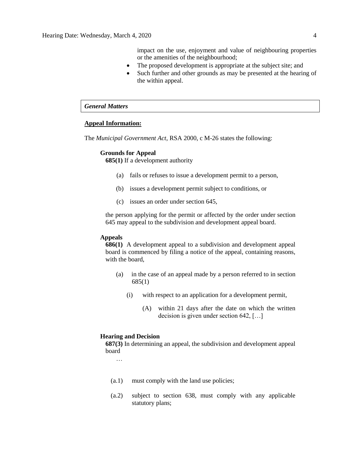impact on the use, enjoyment and value of neighbouring properties or the amenities of the neighbourhood;

- The proposed development is appropriate at the subject site; and
- Such further and other grounds as may be presented at the hearing of the within appeal.

#### *General Matters*

#### **Appeal Information:**

The *Municipal Government Act*, RSA 2000, c M-26 states the following:

#### **Grounds for Appeal**

**685(1)** If a development authority

- (a) fails or refuses to issue a development permit to a person,
- (b) issues a development permit subject to conditions, or
- (c) issues an order under section 645,

the person applying for the permit or affected by the order under section 645 may appeal to the subdivision and development appeal board.

#### **Appeals**

**686(1)** A development appeal to a subdivision and development appeal board is commenced by filing a notice of the appeal, containing reasons, with the board,

- (a) in the case of an appeal made by a person referred to in section 685(1)
	- (i) with respect to an application for a development permit,
		- (A) within 21 days after the date on which the written decision is given under section 642, […]

#### **Hearing and Decision**

**687(3)** In determining an appeal, the subdivision and development appeal board

…

- (a.1) must comply with the land use policies;
- (a.2) subject to section 638, must comply with any applicable statutory plans;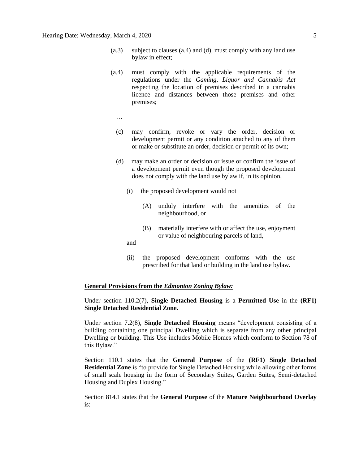- (a.3) subject to clauses (a.4) and (d), must comply with any land use bylaw in effect;
- (a.4) must comply with the applicable requirements of the regulations under the *Gaming, Liquor and Cannabis Act* respecting the location of premises described in a cannabis licence and distances between those premises and other premises;
	- …
	- (c) may confirm, revoke or vary the order, decision or development permit or any condition attached to any of them or make or substitute an order, decision or permit of its own;
	- (d) may make an order or decision or issue or confirm the issue of a development permit even though the proposed development does not comply with the land use bylaw if, in its opinion,
		- (i) the proposed development would not
			- (A) unduly interfere with the amenities of the neighbourhood, or
			- (B) materially interfere with or affect the use, enjoyment or value of neighbouring parcels of land,
		- and
		- (ii) the proposed development conforms with the use prescribed for that land or building in the land use bylaw.

#### **General Provisions from the** *Edmonton Zoning Bylaw:*

Under section 110.2(7), **Single Detached Housing** is a **Permitted Use** in the **(RF1) Single Detached Residential Zone**.

Under section 7.2(8), **Single Detached Housing** means "development consisting of a building containing one principal Dwelling which is separate from any other principal Dwelling or building. This Use includes Mobile Homes which conform to Section 78 of this Bylaw."

Section 110.1 states that the **General Purpose** of the **(RF1) Single Detached Residential Zone** is "to provide for Single Detached Housing while allowing other forms of small scale housing in the form of Secondary Suites, Garden Suites, Semi-detached Housing and Duplex Housing."

Section 814.1 states that the **General Purpose** of the **Mature Neighbourhood Overlay** is: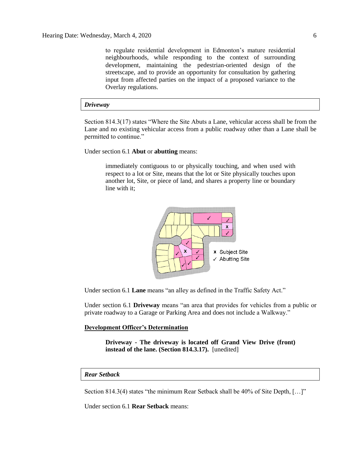to regulate residential development in Edmonton's mature residential neighbourhoods, while responding to the context of surrounding development, maintaining the pedestrian-oriented design of the streetscape, and to provide an opportunity for consultation by gathering input from affected parties on the impact of a proposed variance to the Overlay regulations.

#### *Driveway*

Section 814.3(17) states "Where the Site Abuts a Lane, vehicular access shall be from the Lane and no existing vehicular access from a public roadway other than a Lane shall be permitted to continue."

Under section 6.1 **Abut** or **abutting** means:

immediately contiguous to or physically touching, and when used with respect to a lot or Site, means that the lot or Site physically touches upon another lot, Site, or piece of land, and shares a property line or boundary line with it;



Under section 6.1 **Lane** means "an alley as defined in the Traffic Safety Act."

Under section 6.1 **Driveway** means "an area that provides for vehicles from a public or private roadway to a Garage or Parking Area and does not include a Walkway."

#### **Development Officer's Determination**

**Driveway - The driveway is located off Grand View Drive (front) instead of the lane. (Section 814.3.17).** [unedited]

#### *Rear Setback*

Section 814.3(4) states "the minimum Rear Setback shall be 40% of Site Depth, […]"

Under section 6.1 **Rear Setback** means: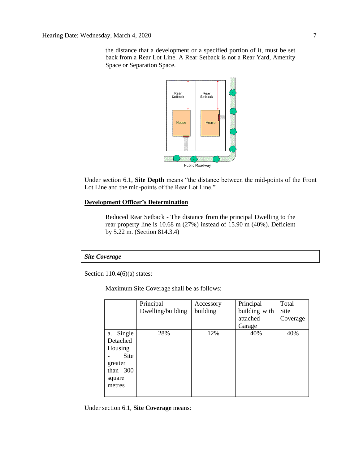the distance that a development or a specified portion of it, must be set back from a Rear Lot Line. A Rear Setback is not a Rear Yard, Amenity Space or Separation Space.



Under section 6.1, **Site Depth** means "the distance between the mid-points of the Front Lot Line and the mid-points of the Rear Lot Line."

#### **Development Officer's Determination**

Reduced Rear Setback - The distance from the principal Dwelling to the rear property line is 10.68 m (27%) instead of 15.90 m (40%). Deficient by 5.22 m. (Section 814.3.4)

#### *Site Coverage*

Section 110.4(6)(a) states:

Maximum Site Coverage shall be as follows:

|              | Principal         | Accessory | Principal     | Total    |
|--------------|-------------------|-----------|---------------|----------|
|              | Dwelling/building | building  | building with | Site     |
|              |                   |           | attached      | Coverage |
|              |                   |           | Garage        |          |
| Single<br>a. | 28%               | 12%       | 40%           | 40%      |
| Detached     |                   |           |               |          |
| Housing      |                   |           |               |          |
| Site         |                   |           |               |          |
| greater      |                   |           |               |          |
| than 300     |                   |           |               |          |
| square       |                   |           |               |          |
| metres       |                   |           |               |          |
|              |                   |           |               |          |

Under section 6.1, **Site Coverage** means: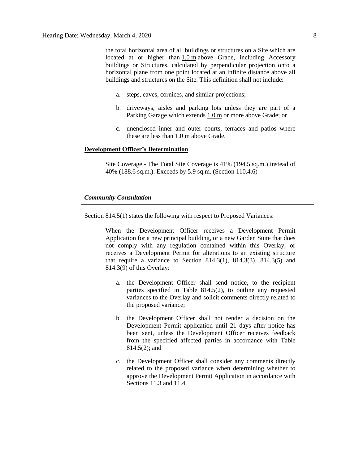the total horizontal area of all buildings or structures on a Site which are located at or higher than  $1.0 \text{ m}$  $1.0 \text{ m}$  above Grade, including Accessory buildings or Structures, calculated by perpendicular projection onto a horizontal plane from one point located at an infinite distance above all buildings and structures on the Site. This definition shall not include:

- a. steps, eaves, cornices, and similar projections;
- b. driveways, aisles and parking lots unless they are part of a Parking Garage which extends [1.0](javascript:void(0);) m or more above Grade; or
- c. unenclosed inner and outer courts, terraces and patios where these are less than [1.0](javascript:void(0);) m above Grade.

#### **Development Officer's Determination**

Site Coverage - The Total Site Coverage is 41% (194.5 sq.m.) instead of 40% (188.6 sq.m.). Exceeds by 5.9 sq.m. (Section 110.4.6)

#### *Community Consultation*

Section 814.5(1) states the following with respect to Proposed Variances:

When the Development Officer receives a Development Permit Application for a new principal building, or a new Garden Suite that does not comply with any regulation contained within this Overlay, or receives a Development Permit for alterations to an existing structure that require a variance to Section 814.3(1), 814.3(3), 814.3(5) and 814.3(9) of this Overlay:

- a. the Development Officer shall send notice, to the recipient parties specified in Table 814.5(2), to outline any requested variances to the Overlay and solicit comments directly related to the proposed variance;
- b. the Development Officer shall not render a decision on the Development Permit application until 21 days after notice has been sent, unless the Development Officer receives feedback from the specified affected parties in accordance with Table 814.5(2); and
- c. the Development Officer shall consider any comments directly related to the proposed variance when determining whether to approve the Development Permit Application in accordance with Sections 11.3 and 11.4.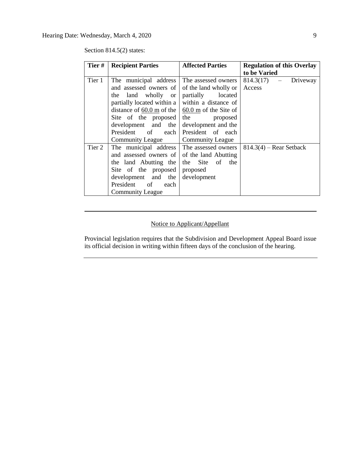Section 814.5(2) states:

| Tier#  | <b>Recipient Parties</b>                                | <b>Affected Parties</b> | <b>Regulation of this Overlay</b> |  |
|--------|---------------------------------------------------------|-------------------------|-----------------------------------|--|
|        |                                                         |                         | to be Varied                      |  |
| Tier 1 | The municipal address                                   | The assessed owners     | $814.3(17)$ - Driveway            |  |
|        | and assessed owners of                                  | of the land wholly or   | Access                            |  |
|        | the land wholly or                                      | partially<br>located    |                                   |  |
|        | partially located within a                              | within a distance of    |                                   |  |
|        | distance of 60.0 m of the $\vert$ 60.0 m of the Site of |                         |                                   |  |
|        | Site of the proposed                                    | the<br>proposed         |                                   |  |
|        | development and the                                     | development and the     |                                   |  |
|        | President of each                                       | President of each       |                                   |  |
|        | <b>Community League</b>                                 | <b>Community League</b> |                                   |  |
| Tier 2 | The municipal address The assessed owners               |                         | $814.3(4)$ – Rear Setback         |  |
|        | and assessed owners of of the land Abutting             |                         |                                   |  |
|        | the land Abutting the                                   | the Site of<br>the      |                                   |  |
|        | Site of the proposed                                    | proposed                |                                   |  |
|        | development and the                                     | development             |                                   |  |
|        | President of<br>each                                    |                         |                                   |  |
|        | <b>Community League</b>                                 |                         |                                   |  |

## Notice to Applicant/Appellant

Provincial legislation requires that the Subdivision and Development Appeal Board issue its official decision in writing within fifteen days of the conclusion of the hearing.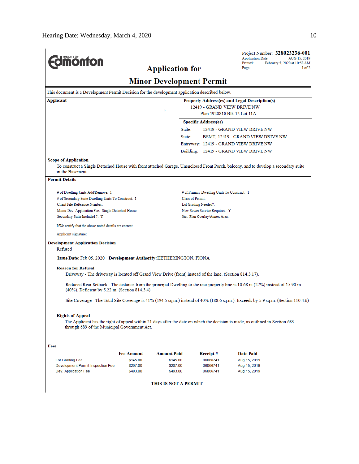|                                                                                                                                                                                       |                                               |                      |                                             | <b>Application Date:</b>              | Project Number: 328023236-001<br>AUG 15, 2019 |  |  |
|---------------------------------------------------------------------------------------------------------------------------------------------------------------------------------------|-----------------------------------------------|----------------------|---------------------------------------------|---------------------------------------|-----------------------------------------------|--|--|
| <b>monton</b>                                                                                                                                                                         |                                               |                      |                                             | Printed:<br>Page:                     | February 5, 2020 at 10:58 AM                  |  |  |
| <b>Application for</b>                                                                                                                                                                |                                               |                      |                                             |                                       | $1$ of $2$                                    |  |  |
|                                                                                                                                                                                       |                                               |                      | <b>Minor Development Permit</b>             |                                       |                                               |  |  |
| This document is a Development Permit Decision for the development application described below.                                                                                       |                                               |                      |                                             |                                       |                                               |  |  |
| Applicant                                                                                                                                                                             | Property Address(es) and Legal Description(s) |                      |                                             |                                       |                                               |  |  |
|                                                                                                                                                                                       | 12419 - GRAND VIEW DRIVE NW                   |                      |                                             |                                       |                                               |  |  |
|                                                                                                                                                                                       | Plan 1920810 Blk 12 Lot 11A                   |                      |                                             |                                       |                                               |  |  |
|                                                                                                                                                                                       |                                               |                      | <b>Specific Address(es)</b>                 |                                       |                                               |  |  |
|                                                                                                                                                                                       |                                               | Suite:               |                                             | 12419 - GRAND VIEW DRIVE NW           |                                               |  |  |
|                                                                                                                                                                                       |                                               | Suite:               |                                             | BSMT, 12419 - GRAND VIEW DRIVE NW     |                                               |  |  |
|                                                                                                                                                                                       |                                               |                      |                                             | Entryway: 12419 - GRAND VIEW DRIVE NW |                                               |  |  |
|                                                                                                                                                                                       |                                               |                      |                                             | Building: 12419 - GRAND VIEW DRIVE NW |                                               |  |  |
| <b>Scope of Application</b><br>To construct a Single Detached House with front attached Garage, Unenclosed Front Porch, balcony, and to develop a secondary suite<br>in the Basement. |                                               |                      |                                             |                                       |                                               |  |  |
| <b>Permit Details</b>                                                                                                                                                                 |                                               |                      |                                             |                                       |                                               |  |  |
| # of Dwelling Units Add/Remove: 1                                                                                                                                                     |                                               |                      | # of Primary Dwelling Units To Construct: 1 |                                       |                                               |  |  |
| # of Secondary Suite Dwelling Units To Construct: 1                                                                                                                                   |                                               |                      | Class of Permit:                            |                                       |                                               |  |  |
| Client File Reference Number:                                                                                                                                                         |                                               |                      | Lot Grading Needed?:                        |                                       |                                               |  |  |
| Minor Dev. Application Fee: Single Detached House<br>New Sewer Service Required: Y                                                                                                    |                                               |                      |                                             |                                       |                                               |  |  |
| Secondary Suite Included ?: Y                                                                                                                                                         |                                               |                      | Stat. Plan Overlay/Annex Area:              |                                       |                                               |  |  |
| I/We certify that the above noted details are correct.                                                                                                                                |                                               |                      |                                             |                                       |                                               |  |  |
| Applicant signature:                                                                                                                                                                  |                                               |                      |                                             |                                       |                                               |  |  |
| <b>Development Application Decision</b><br>Refused                                                                                                                                    |                                               |                      |                                             |                                       |                                               |  |  |
| Issue Date: Feb 05, 2020 Development Authority: HETHERINGTON, FIONA                                                                                                                   |                                               |                      |                                             |                                       |                                               |  |  |
| <b>Reason for Refusal</b><br>Driveway - The driveway is located off Grand View Drive (front) instead of the lane. (Section 814.3.17).                                                 |                                               |                      |                                             |                                       |                                               |  |  |
| Reduced Rear Setback - The distance from the principal Dwelling to the rear property line is 10.68 m (27%) instead of 15.90 m<br>(40%). Deficient by 5.22 m. (Section 814.3.4)        |                                               |                      |                                             |                                       |                                               |  |  |
| Site Coverage - The Total Site Coverage is 41% (194.5 sq.m.) instead of 40% (188.6 sq.m.). Exceeds by 5.9 sq.m. (Section 110.4.6)                                                     |                                               |                      |                                             |                                       |                                               |  |  |
| <b>Rights of Appeal</b>                                                                                                                                                               |                                               |                      |                                             |                                       |                                               |  |  |
| The Applicant has the right of appeal within 21 days after the date on which the decision is made, as outlined in Section 683<br>through 689 of the Municipal Government Act.         |                                               |                      |                                             |                                       |                                               |  |  |
| Fees                                                                                                                                                                                  |                                               |                      |                                             |                                       |                                               |  |  |
|                                                                                                                                                                                       | <b>Fee Amount</b>                             | <b>Amount Paid</b>   | Receipt #                                   | <b>Date Paid</b>                      |                                               |  |  |
| Lot Grading Fee                                                                                                                                                                       | \$145.00                                      | \$145.00             | 06066741                                    | Aug 15, 2019                          |                                               |  |  |
| Development Permit Inspection Fee                                                                                                                                                     | \$207.00                                      | \$207.00             | 06066741                                    | Aug 15, 2019                          |                                               |  |  |
| Dev. Application Fee                                                                                                                                                                  | \$493.00                                      | \$493.00             | 06066741                                    | Aug 15, 2019                          |                                               |  |  |
|                                                                                                                                                                                       |                                               | THIS IS NOT A PERMIT |                                             |                                       |                                               |  |  |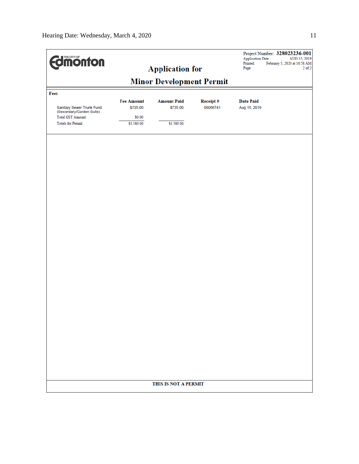| <b>Minor Development Permit</b><br>Fees<br><b>Fee Amount</b><br><b>Amount Paid</b><br>Receipt#<br><b>Date Paid</b><br>\$735.00<br>06066741<br>Sanitary Sewer Trunk Fund<br>\$735.00<br>Aug 15, 2019<br>(Secondary/Garden Suite)<br><b>Total GST Amount:</b><br>\$0.00<br><b>Totals for Permit:</b><br>\$1,580.00<br>\$1,580.00<br>THIS IS NOT A PERMIT | <b>Edimonton</b> | <b>Application for</b> |  |  | <b>Application Date:</b><br>Printed:<br>Page: | Project Number: 328023236-001<br>AUG 15, 2019<br>February 5, 2020 at 10:58 AM<br>$2$ of $2$ |  |  |  |
|--------------------------------------------------------------------------------------------------------------------------------------------------------------------------------------------------------------------------------------------------------------------------------------------------------------------------------------------------------|------------------|------------------------|--|--|-----------------------------------------------|---------------------------------------------------------------------------------------------|--|--|--|
|                                                                                                                                                                                                                                                                                                                                                        |                  |                        |  |  |                                               |                                                                                             |  |  |  |
|                                                                                                                                                                                                                                                                                                                                                        |                  |                        |  |  |                                               |                                                                                             |  |  |  |
|                                                                                                                                                                                                                                                                                                                                                        |                  |                        |  |  |                                               |                                                                                             |  |  |  |
|                                                                                                                                                                                                                                                                                                                                                        |                  |                        |  |  |                                               |                                                                                             |  |  |  |
|                                                                                                                                                                                                                                                                                                                                                        |                  |                        |  |  |                                               |                                                                                             |  |  |  |
|                                                                                                                                                                                                                                                                                                                                                        |                  |                        |  |  |                                               |                                                                                             |  |  |  |
|                                                                                                                                                                                                                                                                                                                                                        |                  |                        |  |  |                                               |                                                                                             |  |  |  |
|                                                                                                                                                                                                                                                                                                                                                        |                  |                        |  |  |                                               |                                                                                             |  |  |  |
|                                                                                                                                                                                                                                                                                                                                                        |                  |                        |  |  |                                               |                                                                                             |  |  |  |
|                                                                                                                                                                                                                                                                                                                                                        |                  |                        |  |  |                                               |                                                                                             |  |  |  |
|                                                                                                                                                                                                                                                                                                                                                        |                  |                        |  |  |                                               |                                                                                             |  |  |  |
|                                                                                                                                                                                                                                                                                                                                                        |                  |                        |  |  |                                               |                                                                                             |  |  |  |
|                                                                                                                                                                                                                                                                                                                                                        |                  |                        |  |  |                                               |                                                                                             |  |  |  |
|                                                                                                                                                                                                                                                                                                                                                        |                  |                        |  |  |                                               |                                                                                             |  |  |  |
|                                                                                                                                                                                                                                                                                                                                                        |                  |                        |  |  |                                               |                                                                                             |  |  |  |
|                                                                                                                                                                                                                                                                                                                                                        |                  |                        |  |  |                                               |                                                                                             |  |  |  |
|                                                                                                                                                                                                                                                                                                                                                        |                  |                        |  |  |                                               |                                                                                             |  |  |  |
|                                                                                                                                                                                                                                                                                                                                                        |                  |                        |  |  |                                               |                                                                                             |  |  |  |
|                                                                                                                                                                                                                                                                                                                                                        |                  |                        |  |  |                                               |                                                                                             |  |  |  |
|                                                                                                                                                                                                                                                                                                                                                        |                  |                        |  |  |                                               |                                                                                             |  |  |  |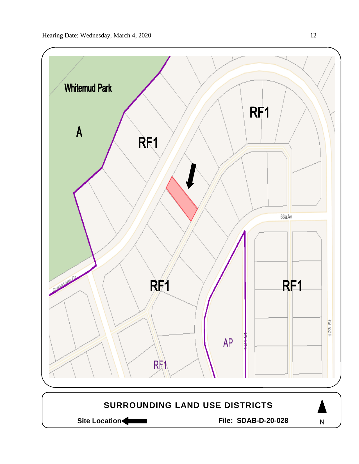